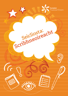

**Scríbhneoireacht Seicliosta:**

G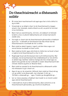#### **Do theachtaireacht a dhéanamh soiléir**

- Bí cinnte faoin teachtaireacht atá agat agus faoi cé dó a bhfuil tú ag scríobh.
- • Smaoinigh ar an dóigh is fearr le do theachtaireacht a leagan amach, mar shampla, úsáid a bhaint as ailt, as pointí le hurchair nó as íomhánna.
- Bain triail as ceannlitreacha, cló trom, cló iodálach nó folíneáil le béim a chur ar phointí tábhachtacha ach ná bain barraíocht úsáide astu.
- • Socraigh ar cheart duit do theachtaireacht ghinearálta a thabhairt ag an tús – ní bheadh sin fóirsteanach dá mba mhian leat do theachtaireacht a nochtadh de réir a chéile.
- Bain úsáid as abairt topaice i ngach cuid den téacs agus cuir sonraí breise ina diaidh nó thart uirthi.
- Bain úsáid as foclóir agus stórchiste le chéile leis na focail is fearr a roghnú le do theachtaireacht a chur in iúl.
- Roghnaigh focail atá fóirsteanach don lucht léitheoireachta. Mar shampla, má tá teachtaireacht faoi shábháilteacht ar líne dírithe ar pháistí óga, bainfear úsáid as teanga atá níos simplí agus as abairtí níos gairide ná mar a bheadh in úsáid i dteachtaireacht den chineál chéanna ag díriú ar dhaoine fásta.
- Bain úsáid as samplaí le do theachtaireacht a dhéanamh soiléir má mheasann tú gur cheart sin.
- Agus tú ag cur do smaointe i bhfocail, bain úsáid as frásaí atá ag cur go soiléir le do dhearcadh, mar shampla 'Is léir go …', 'Ní féidir a shéanadh go …' agus 'Creidim go diongbháilte go …'
- larr ar chara aiseolas a thabhairt duit maidir le cé chomh soiléir agus atá do theachtaireacht.
- I ndeireadh do chuid scríbhneoireachta, déan achoimre ar do theachtaireacht ghinearálta, ag críochnú le buafhocal.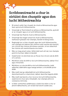### **Scríbhneoireacht a chur in oiriúint don chuspóir agus don lucht léitheoireachta**

- Bí iontach soiléir faoi chuspóir do chuid scríbhneoireachta agus faoin sprioclucht léitheoireachta.
- • Smaoinigh ar fhoirmiúlacht an phíosa scríbhneoireachta, ag brath ar an chuspóir agus ar an lucht léitheoireachta.
- Smaoinigh faoi fhad do chuid scríbhneoireachta.
- Smaoinigh faoi leagan amach do chuid scríbhneoireachta, leathanach gréasáin mar shampla, léaráid nó bileog eolais.
- Roghnaigh ton cuí don chuspóir agus don lucht léitheoireachta, mar shampla ton éadrom faoi choinne scéal nuachta atá siamsúil, ton criticiúil faoi choinne léirmheas scannáin, nó ton oibiachtúil faoi choinne ailt neamhchlaonta sna meáin.
- Más cuí, leag amach eolas i bhformáid nach ailt iad, mar shampla pointí le hurchair, táblaí nó léaráidí.
- Úsáid foclóir nó stórchiste leis an fhocal chuí chruinn atá de dhíth ort a aimsiú.
- Má bhíonn eolas de dhíth ar do lucht léitheoireachta, tabhair fíricí agus míniúcháin.
- Má bhíonn cur síos de dhíth ar do lucht léitheoireachta, úsáid aidiachtaí, dobhriathra agus teanga amhairc a chruthóidh pictiúr dóibh.
- Más maith leat go ndéanfaidh do lucht léitheoireachta dianmhachnamh ar shaincheist, tabhair dearcthaí éagsúla dóibh.
- Más maith leat barúil a chur ina luí ar do lucht léitheoireachta, úsáid teicnící chun iad a mhealladh, mar shampla athrá nó ceisteanna reitriciúla.
- Is féidir comharthaí uaillbhreasa a úsáid chun béim a chur ar phointí tábhachtacha, ach ná bain barraíocht úsáide astu.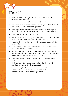## **Pleanáil**

- Smaoinigh ar chuspóir do chuid scríbhneoireachta. Cad é an sprioc atá taobh thiar dó?
- • Smaoinigh ar an lucht léitheoireachta. Cé a bheidh á léamh?
- Smaoinigh ar stíl do chuid scríbhneoireachta, mar shampla scéal, dán, tuairisc nó leathanach baile gréasáin.
- Smaoinigh ar thon do chuid scríbhneoireachta. Mar shampla ar cheart go mbeidh sí dáiríre, spreagúil, greannmhar nó criticiúil?
- • Déan nóta de do chuid smaointe uilig.
- Eagraigh do chuid nótaí mar a oireann duit féin, mar shampla bain úsáid as pointí le hurchair, tábla, nó damhánleáráid.
- Leag amach an struchtúr tús simplí, lár agus críoch. Ansin déan iad sin a fhorbairt.
- • Déan achoimre i mbeagán eochairfhocal ar an phríomhphointe nó na príomhsmaointe i ngach alt nó mír.
- • Má bhíonn tú ag cur tuairim ar leith chun tosaigh, smaoinigh ar ionsaithe in éadan d'argóinte arbh fhéidir a bheith ag súil leo, agus ullmhaigh an dóigh le do chuid tuairimí a chosaint.
- Déan tástáil le socrú ar an ord is fearr le do chuid smaointe a úsáid.
- • Nuair atá socrú déanta agat faoin ord ina mbeidh do chuid smaointe, cuir uimhir taobh le gach pointe.
- • Smaoinigh ar phointe tosaigh le haird do lucht léitheoireachta a tharraingt, agus pointe láidir ag deireadh do chuid scríbhneoireachta a mhairfidh ina gcuimhne.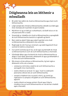### **Dóigheanna leis an léitheoir a mhealladh**

- Bí soiléir faoi aidhm do chuid scríbhneoireachta agus faoin lucht léitheoireachta.
- Léigh samplaí den chineál scríbhneoireachta a bheidh á scríobh agat. (mar shampla ailt nuachtáin nó gearrscéalta).
- • Má bhíonn tú ag scríobh go cruthaitheach, ná bíodh leisce ort do stíl pearsanta féin a úsáid.
- Smaoinigh ar chéadlíne do chuid scríbhneoireachta a spreagfaidh do lucht léitheoireachta leanúint ar aghaidh ag léamh.
- Bain úsáid as abairtí fada agus abairtí gairide le do chuid scríbhneoireachta a dhéanamh níos suimiúla.
- Roghnaigh do stór focal go cúramach, ag úsáid éagsúlacht focal suimiúil le hathrá a sheachaint.
- Cuir pointí suimiúla ag an tús, sa lár agus ag deireadh do chuid scríbhneoireachta le suim do lucht léitheoireachta a choinneáil.
- Ullmhaigh ábhar agus foclaíocht do chuid scríbhneoireachta sa dóigh is nach féidir dearmad a dhéanamh di agus go bhfanfaidh sí in intinn do lucht léitheoireachta.
- Má oireann sé don phíosa scríbhneoireachta, tig leat rogha a dhéanamh orthu seo a leanas:
	- – ceisteanna reitriciúla a úsáid le do lucht léitheoireachta a spreagadh chun machnaimh;
	- – úsáid a bhaint as na focail 'tú' agus 'muid' le caidreamh pearsanta a bhunú leis an lucht léitheoireachta;
	- – samplaí a thabhairt leis na pointí a léiriú, ag cinntiú go roghnaíonn tú samplaí a thuigfidh an lucht léitheoireachta; agus/nó
	- – úsáid a bhaint as teanga amhairc (focail agus frásaí a chuidíonn leis an lucht léitheoireachta an rud atá faoi chaibidil agat a fheiceáil).